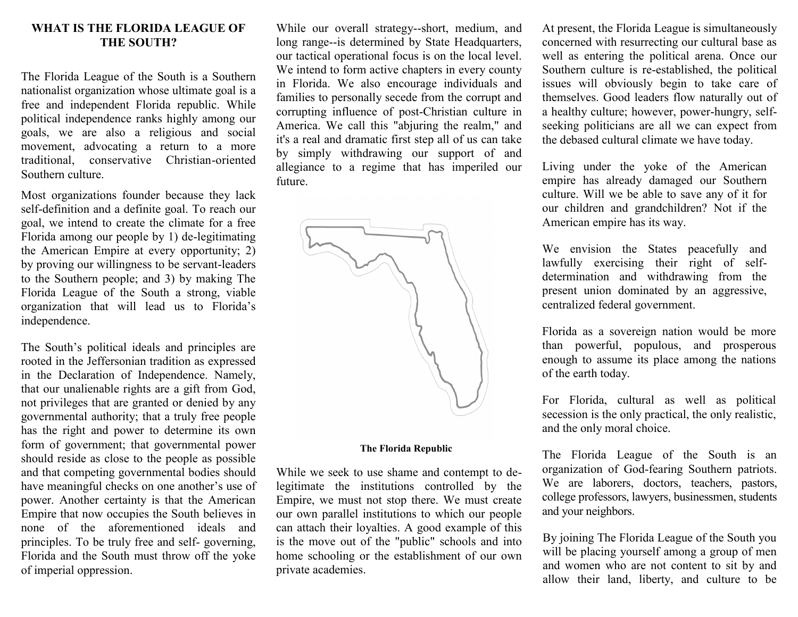## **WHAT IS THE FLORIDA LEAGUE OF THE SOUTH?**

The Florida League of the South is a Southern nationalist organization whose ultimate goal is a free and independent Florida republic. While political independence ranks highly among our goals, we are also a religious and social movement, advocating a return to a more traditional, conservative Christian-oriented Southern culture.

Most organizations founder because they lack self-definition and a definite goal. To reach our goal, we intend to create the climate for a free Florida among our people by 1) de-legitimating the American Empire at every opportunity; 2) by proving our willingness to be servant-leaders to the Southern people; and 3) by making The Florida League of the South a strong, viable organization that will lead us to Florida's independence.

The South's political ideals and principles are rooted in the Jeffersonian tradition as expressed in the Declaration of Independence. Namely, that our unalienable rights are a gift from God, not privileges that are granted or denied by any governmental authority; that a truly free people has the right and power to determine its own form of government; that governmental power should reside as close to the people as possible and that competing governmental bodies should have meaningful checks on one another's use of power. Another certainty is that the American Empire that now occupies the South believes in none of the aforementioned ideals and principles. To be truly free and self- governing, Florida and the South must throw off the yoke of imperial oppression.

While our overall strategy--short, medium, and long range--is determined by State Headquarters, our tactical operational focus is on the local level. We intend to form active chapters in every county in Florida. We also encourage individuals and families to personally secede from the corrupt and corrupting influence of post-Christian culture in America. We call this "abjuring the realm," and it's a real and dramatic first step all of us can take by simply withdrawing our support of and allegiance to a regime that has imperiled our future.



## **The Florida Republic**

While we seek to use shame and contempt to delegitimate the institutions controlled by the Empire, we must not stop there. We must create our own parallel institutions to which our people can attach their loyalties. A good example of this is the move out of the "public" schools and into home schooling or the establishment of our own private academies.

At present, the Florida League is simultaneously concerned with resurrecting our cultural base as well as entering the political arena. Once our Southern culture is re-established, the political issues will obviously begin to take care of themselves. Good leaders flow naturally out of a healthy culture; however, power-hungry, selfseeking politicians are all we can expect from the debased cultural climate we have today.

Living under the yoke of the American empire has already damaged our Southern culture. Will we be able to save any of it for our children and grandchildren? Not if the American empire has its way.

We envision the States peacefully and lawfully exercising their right of selfdetermination and withdrawing from the present union dominated by an aggressive, centralized federal government.

Florida as a sovereign nation would be more than powerful, populous, and prosperous enough to assume its place among the nations of the earth today.

For Florida, cultural as well as political secession is the only practical, the only realistic, and the only moral choice.

The Florida League of the South is an organization of God-fearing Southern patriots. We are laborers, doctors, teachers, pastors, college professors, lawyers, businessmen, students and your neighbors.

By joining The Florida League of the South you will be placing yourself among a group of men and women who are not content to sit by and allow their land, liberty, and culture to be